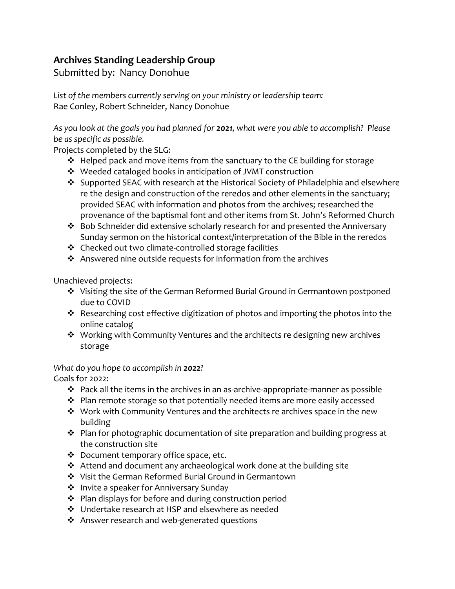## **Archives Standing Leadership Group**

Submitted by: Nancy Donohue

*List of the members currently serving on your ministry or leadership team:* Rae Conley, Robert Schneider, Nancy Donohue

*As you look at the goals you had planned for 2021, what were you able to accomplish? Please be as specific as possible.*

Projects completed by the SLG:

- ❖ Helped pack and move items from the sanctuary to the CE building for storage
- ❖ Weeded cataloged books in anticipation of JVMT construction
- ❖ Supported SEAC with research at the Historical Society of Philadelphia and elsewhere re the design and construction of the reredos and other elements in the sanctuary; provided SEAC with information and photos from the archives; researched the provenance of the baptismal font and other items from St. John's Reformed Church
- ❖ Bob Schneider did extensive scholarly research for and presented the Anniversary Sunday sermon on the historical context/interpretation of the Bible in the reredos
- ❖ Checked out two climate-controlled storage facilities
- ❖ Answered nine outside requests for information from the archives

Unachieved projects:

- ❖ Visiting the site of the German Reformed Burial Ground in Germantown postponed due to COVID
- ❖ Researching cost effective digitization of photos and importing the photos into the online catalog
- ❖ Working with Community Ventures and the architects re designing new archives storage

*What do you hope to accomplish in 2022?*

Goals for 2022:

- ❖ Pack all the items in the archives in an as-archive-appropriate-manner as possible
- ❖ Plan remote storage so that potentially needed items are more easily accessed
- ❖ Work with Community Ventures and the architects re archives space in the new building
- ❖ Plan for photographic documentation of site preparation and building progress at the construction site
- ❖ Document temporary office space, etc.
- ❖ Attend and document any archaeological work done at the building site
- ❖ Visit the German Reformed Burial Ground in Germantown
- ❖ Invite a speaker for Anniversary Sunday
- ❖ Plan displays for before and during construction period
- ❖ Undertake research at HSP and elsewhere as needed
- ❖ Answer research and web-generated questions